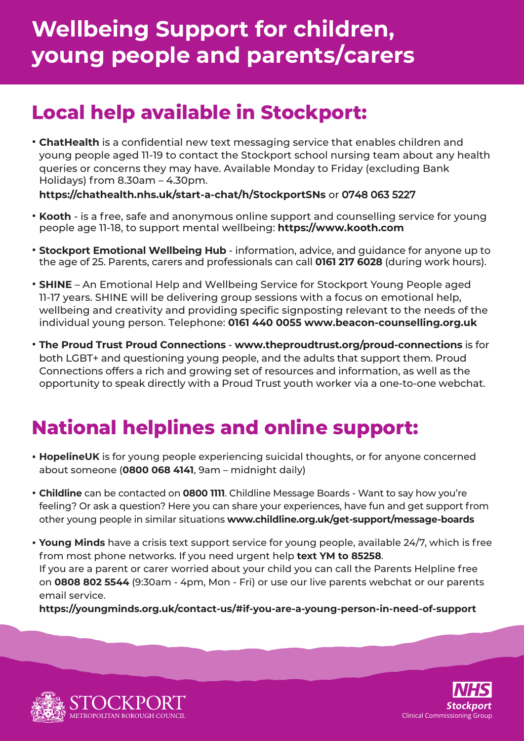# **Wellbeing Support for children, young people and parents/carers**

### **Local help available in Stockport:**

• **ChatHealth** is a confidential new text messaging service that enables children and young people aged 11-19 to contact the Stockport school nursing team about any health queries or concerns they may have. Available Monday to Friday (excluding Bank Holidays) from 8.30am – 4.30pm.

**https://chathealth.nhs.uk/start-a-chat/h/StockportSNs** or 0748 063 5227

- **Kooth** is a free, safe and anonymous online support and counselling service for young people age 11-18, to support mental wellbeing: **https://www.kooth.com**
- **Stockport Emotional Wellbeing Hub** information, advice, and guidance for anyone up to the age of 25. Parents, carers and professionals can call **0161 217 6028** (during work hours).
- **SHINE** An Emotional Help and Wellbeing Service for Stockport Young People aged 11-17 years. SHINE will be delivering group sessions with a focus on emotional help, wellbeing and creativity and providing specific signposting relevant to the needs of the individual young person. Telephone: **0161 440 0055 www.beacon-counselling.org.uk**
- **The Proud Trust Proud Connections www.theproudtrust.org/proud-connections** is for both LGBT+ and questioning young people, and the adults that support them. Proud Connections offers a rich and growing set of resources and information, as well as the opportunity to speak directly with a Proud Trust youth worker via a one-to-one webchat.

### **National helplines and online support:**

- **HopelineUK** is for young people experiencing suicidal thoughts, or for anyone concerned about someone (**0800 068 4141**, 9am – midnight daily)
- **Childline** can be contacted on **0800 1111**. Childline Message Boards Want to say how you're feeling? Or ask a question? Here you can share your experiences, have fun and get support from other young people in similar situations **www.childline.org.uk/get-support/message-boards**
- **Young Minds** have a crisis text support service for young people, available 24/7, which is free from most phone networks. If you need urgent help **text YM to 85258**. If you are a parent or carer worried about your child you can call the Parents Helpline free on **0808 802 5544** (9:30am - 4pm, Mon - Fri) or use our live parents webchat or our parents email service.

**<https://youngminds.org.uk/contact-us/#if-you-are-a-young-person-in-need-of-support>**